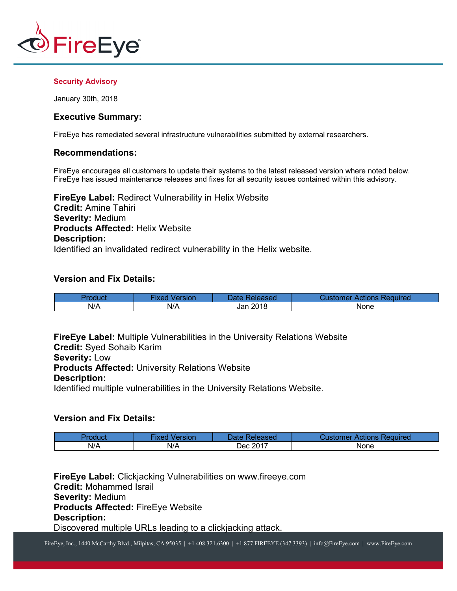

#### **Security Advisory**

January 30th, 2018

# **Executive Summary:**

FireEye has remediated several infrastructure vulnerabilities submitted by external researchers.

# **Recommendations:**

FireEye encourages all customers to update their systems to the latest released version where noted below. FireEye has issued maintenance releases and fixes for all security issues contained within this advisory.

**FireEye Label:** Redirect Vulnerability in Helix Website **Credit:** Amine Tahiri **Severity:** Medium **Products Affected:** Helix Website **Description:** Identified an invalidated redirect vulnerability in the Helix website.

# **Version and Fix Details:**

|     | ersion | Released<br>Jate K | ' Actions Required<br>Customer |
|-----|--------|--------------------|--------------------------------|
| N/A | N/A    | 2018<br>Jan ′      | None                           |

**FireEye Label:** Multiple Vulnerabilities in the University Relations Website **Credit:** Syed Sohaib Karim

**Severity:** Low

**Products Affected:** University Relations Website

# **Description:**

Identified multiple vulnerabilities in the University Relations Website.

# **Version and Fix Details:**

|     | Version<br><b>IXEQ</b> | Datel<br>Released | Customer Actions Required |
|-----|------------------------|-------------------|---------------------------|
| N/A | N/A                    | Dec 2017          | None                      |

**FireEye Label:** Clickjacking Vulnerabilities on www.fireeye.com **Credit:** Mohammed Israil **Severity:** Medium **Products Affected:** FireEye Website **Description:** Discovered multiple URLs leading to a clickjacking attack.

FireEye, Inc., 1440 McCarthy Blvd., Milpitas, CA 95035 | +1 408.321.6300 | +1 877.FIREEYE (347.3393) | info@FireEye.com | www.FireEye.com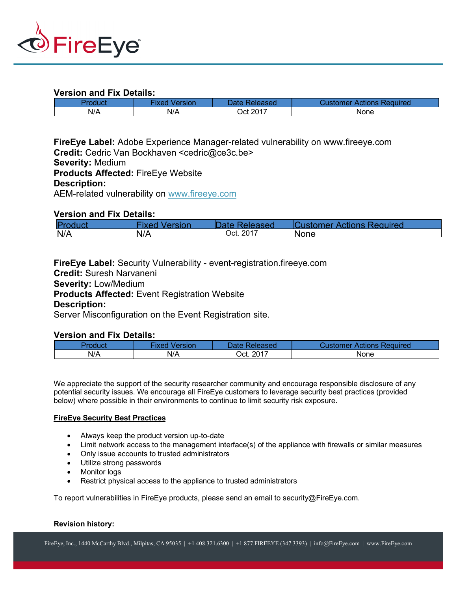

# **Version and Fix Details:**

| Product | Version     | Date:    | : Actions Required |
|---------|-------------|----------|--------------------|
|         | <b>IXed</b> | ⊀eleased | Customer:          |
| N/A     | N/A         | Oct 2017 | None               |

**FireEye Label:** Adobe Experience Manager-related vulnerability on www.fireeye.com Credit: Cedric Van Bockhaven <cedric@ce3c.be> **Severity:** Medium **Products Affected:** FireEye Website **Description:** AEM-related vulnerability on www.fireeye.com

# **Version and Fix Details:**

| Prod | ∕ Arsi∩n<br>$\cdots$ | <b>MARSAN</b> | <b>Actions Required</b><br>Ю |
|------|----------------------|---------------|------------------------------|
| N/A  | N/A                  | Oct. 2017     | <b>None</b>                  |

**FireEye Label:** Security Vulnerability - event-registration.fireeye.com

**Credit:** Suresh Narvaneni

**Severity:** Low/Medium

**Products Affected:** Event Registration Website

# **Description:**

Server Misconfiguration on the Event Registration site.

# **Version and Fix Details:**

| Product | <b>Fixed</b><br>Version | Date Released | <b>Customer Actions Required</b> |
|---------|-------------------------|---------------|----------------------------------|
| N/A     | N/A                     | Oct. 2017     | None                             |

We appreciate the support of the security researcher community and encourage responsible disclosure of any potential security issues. We encourage all FireEye customers to leverage security best practices (provided below) where possible in their environments to continue to limit security risk exposure.

#### **FireEye Security Best Practices**

- Always keep the product version up-to-date
- Limit network access to the management interface(s) of the appliance with firewalls or similar measures
- Only issue accounts to trusted administrators
- Utilize strong passwords
- Monitor logs
- Restrict physical access to the appliance to trusted administrators

To report vulnerabilities in FireEye products, please send an email to security@FireEye.com.

#### **Revision history:**